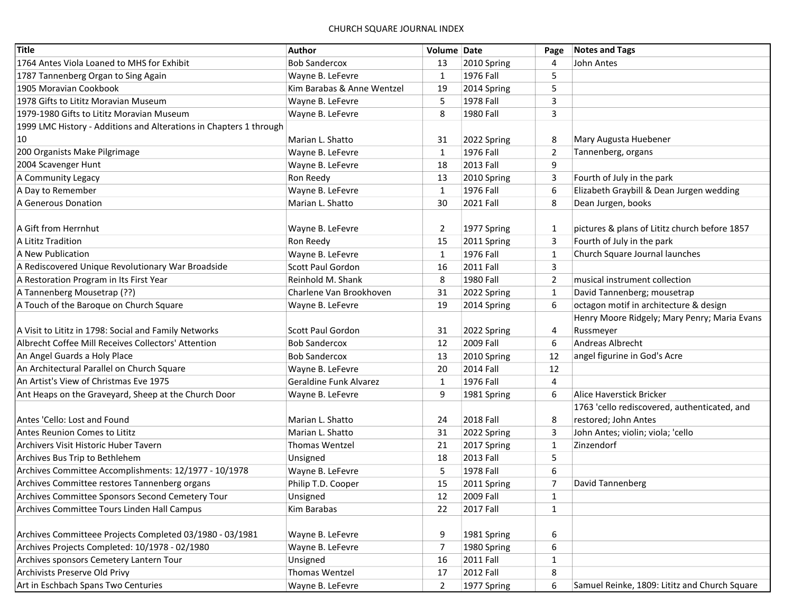| Title                                                              | Author                        | Volume Date    |                  | Page           | <b>Notes and Tags</b>                         |
|--------------------------------------------------------------------|-------------------------------|----------------|------------------|----------------|-----------------------------------------------|
| 1764 Antes Viola Loaned to MHS for Exhibit                         | <b>Bob Sandercox</b>          | 13             | 2010 Spring      | 4              | John Antes                                    |
| 1787 Tannenberg Organ to Sing Again                                | Wayne B. LeFevre              | $\mathbf{1}$   | 1976 Fall        | 5              |                                               |
| 1905 Moravian Cookbook                                             | Kim Barabas & Anne Wentzel    | 19             | 2014 Spring      | 5              |                                               |
| 1978 Gifts to Lititz Moravian Museum                               | Wayne B. LeFevre              | 5              | 1978 Fall        | 3              |                                               |
| 1979-1980 Gifts to Lititz Moravian Museum                          | Wayne B. LeFevre              | 8              | 1980 Fall        | 3              |                                               |
| 1999 LMC History - Additions and Alterations in Chapters 1 through |                               |                |                  |                |                                               |
| 10                                                                 | Marian L. Shatto              | 31             | 2022 Spring      | 8              | Mary Augusta Huebener                         |
| 200 Organists Make Pilgrimage                                      | Wayne B. LeFevre              | $\mathbf{1}$   | 1976 Fall        | $\overline{2}$ | Tannenberg, organs                            |
| 2004 Scavenger Hunt                                                | Wayne B. LeFevre              | 18             | 2013 Fall        | 9              |                                               |
| A Community Legacy                                                 | Ron Reedy                     | 13             | 2010 Spring      | 3              | Fourth of July in the park                    |
| A Day to Remember                                                  | Wayne B. LeFevre              | $\mathbf{1}$   | 1976 Fall        | 6              | Elizabeth Graybill & Dean Jurgen wedding      |
| A Generous Donation                                                | Marian L. Shatto              | 30             | 2021 Fall        | 8              | Dean Jurgen, books                            |
|                                                                    |                               |                |                  |                |                                               |
| A Gift from Herrnhut                                               | Wayne B. LeFevre              | $\overline{2}$ | 1977 Spring      | 1              | pictures & plans of Lititz church before 1857 |
| A Lititz Tradition                                                 | Ron Reedy                     | 15             | 2011 Spring      | $\overline{3}$ | Fourth of July in the park                    |
| A New Publication                                                  | Wayne B. LeFevre              | $\mathbf{1}$   | 1976 Fall        | 1              | Church Square Journal launches                |
| A Rediscovered Unique Revolutionary War Broadside                  | Scott Paul Gordon             | 16             | <b>2011 Fall</b> | 3              |                                               |
| A Restoration Program in Its First Year                            | Reinhold M. Shank             | 8              | 1980 Fall        | $\overline{2}$ | musical instrument collection                 |
| A Tannenberg Mousetrap (??)                                        | Charlene Van Brookhoven       | 31             | 2022 Spring      | $\mathbf{1}$   | David Tannenberg; mousetrap                   |
| A Touch of the Baroque on Church Square                            | Wayne B. LeFevre              | 19             | 2014 Spring      | 6              | octagon motif in architecture & design        |
|                                                                    |                               |                |                  |                | Henry Moore Ridgely; Mary Penry; Maria Evans  |
| A Visit to Lititz in 1798: Social and Family Networks              | Scott Paul Gordon             | 31             | 2022 Spring      | 4              | Russmeyer                                     |
| Albrecht Coffee Mill Receives Collectors' Attention                | <b>Bob Sandercox</b>          | 12             | 2009 Fall        | 6              | Andreas Albrecht                              |
| An Angel Guards a Holy Place                                       | <b>Bob Sandercox</b>          | 13             | 2010 Spring      | 12             | angel figurine in God's Acre                  |
| An Architectural Parallel on Church Square                         | Wayne B. LeFevre              | 20             | <b>2014 Fall</b> | 12             |                                               |
| An Artist's View of Christmas Eve 1975                             | <b>Geraldine Funk Alvarez</b> | $\mathbf{1}$   | 1976 Fall        | 4              |                                               |
| Ant Heaps on the Graveyard, Sheep at the Church Door               | Wayne B. LeFevre              | 9              | 1981 Spring      | 6              | <b>Alice Haverstick Bricker</b>               |
|                                                                    |                               |                |                  |                | 1763 'cello rediscovered, authenticated, and  |
| Antes 'Cello: Lost and Found                                       | Marian L. Shatto              | 24             | <b>2018 Fall</b> | 8              | restored; John Antes                          |
| <b>Antes Reunion Comes to Lititz</b>                               | Marian L. Shatto              | 31             | 2022 Spring      | 3              | John Antes; violin; viola; 'cello             |
| Archivers Visit Historic Huber Tavern                              | <b>Thomas Wentzel</b>         | 21             | 2017 Spring      | $\mathbf{1}$   | Zinzendorf                                    |
| Archives Bus Trip to Bethlehem                                     | Unsigned                      | 18             | 2013 Fall        | 5              |                                               |
| Archives Committee Accomplishments: 12/1977 - 10/1978              | Wayne B. LeFevre              | 5              | 1978 Fall        | 6              |                                               |
| Archives Committee restores Tannenberg organs                      | Philip T.D. Cooper            | 15             | 2011 Spring      | $\overline{7}$ | David Tannenberg                              |
| Archives Committee Sponsors Second Cemetery Tour                   | Unsigned                      | 12             | 2009 Fall        | 1              |                                               |
| Archives Committee Tours Linden Hall Campus                        | Kim Barabas                   | 22             | 2017 Fall        | $\mathbf{1}$   |                                               |
|                                                                    |                               |                |                  |                |                                               |
| Archives Committeee Projects Completed 03/1980 - 03/1981           | Wayne B. LeFevre              | 9              | 1981 Spring      | 6              |                                               |
| Archives Projects Completed: 10/1978 - 02/1980                     | Wayne B. LeFevre              | $\overline{7}$ | 1980 Spring      | 6              |                                               |
| Archives sponsors Cemetery Lantern Tour                            | Unsigned                      | 16             | 2011 Fall        | $\mathbf{1}$   |                                               |
| Archivists Preserve Old Privy                                      | <b>Thomas Wentzel</b>         | 17             | <b>2012 Fall</b> | 8              |                                               |
| Art in Eschbach Spans Two Centuries                                | Wayne B. LeFevre              | $\overline{2}$ | 1977 Spring      | 6              | Samuel Reinke, 1809: Lititz and Church Square |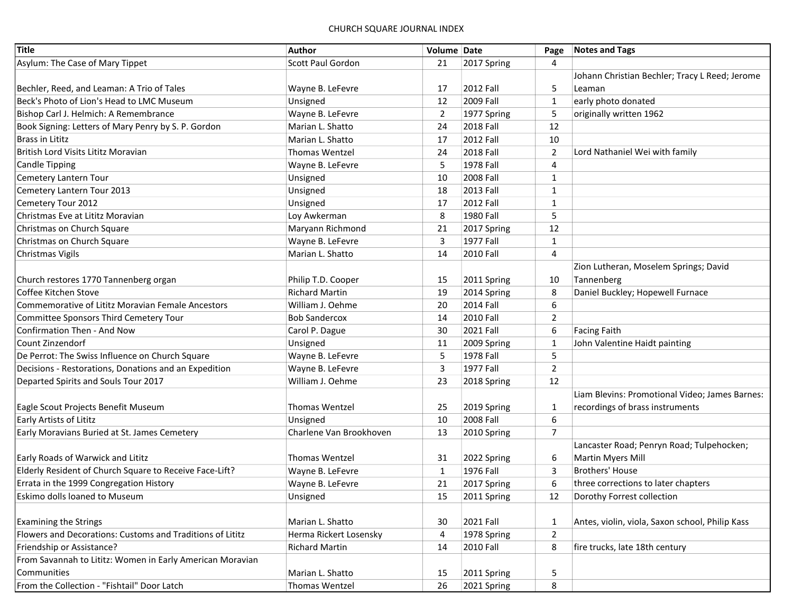| <b>Title</b>                                              | Author                   | Volume Date    |                  | Page           | <b>Notes and Tags</b>                           |
|-----------------------------------------------------------|--------------------------|----------------|------------------|----------------|-------------------------------------------------|
| Asylum: The Case of Mary Tippet                           | <b>Scott Paul Gordon</b> | 21             | 2017 Spring      | 4              |                                                 |
|                                                           |                          |                |                  |                | Johann Christian Bechler; Tracy L Reed; Jerome  |
| Bechler, Reed, and Leaman: A Trio of Tales                | Wayne B. LeFevre         | 17             | 2012 Fall        | 5              | Leaman                                          |
| Beck's Photo of Lion's Head to LMC Museum                 | Unsigned                 | 12             | 2009 Fall        | $\mathbf{1}$   | early photo donated                             |
| Bishop Carl J. Helmich: A Remembrance                     | Wayne B. LeFevre         | $\overline{2}$ | 1977 Spring      | 5              | originally written 1962                         |
| Book Signing: Letters of Mary Penry by S. P. Gordon       | Marian L. Shatto         | 24             | <b>2018 Fall</b> | 12             |                                                 |
| <b>Brass in Lititz</b>                                    | Marian L. Shatto         | 17             | <b>2012 Fall</b> | 10             |                                                 |
| British Lord Visits Lititz Moravian                       | <b>Thomas Wentzel</b>    | 24             | 2018 Fall        | 2              | Lord Nathaniel Wei with family                  |
| <b>Candle Tipping</b>                                     | Wayne B. LeFevre         | 5              | 1978 Fall        | 4              |                                                 |
| Cemetery Lantern Tour                                     | Unsigned                 | 10             | 2008 Fall        | $\mathbf{1}$   |                                                 |
| Cemetery Lantern Tour 2013                                | Unsigned                 | 18             | 2013 Fall        | 1              |                                                 |
| Cemetery Tour 2012                                        | Unsigned                 | 17             | <b>2012 Fall</b> | $\mathbf{1}$   |                                                 |
| Christmas Eve at Lititz Moravian                          | Loy Awkerman             | 8              | 1980 Fall        | 5              |                                                 |
| Christmas on Church Square                                | Maryann Richmond         | 21             | 2017 Spring      | 12             |                                                 |
| Christmas on Church Square                                | Wayne B. LeFevre         | 3              | 1977 Fall        | $\mathbf{1}$   |                                                 |
| Christmas Vigils                                          | Marian L. Shatto         | 14             | <b>2010 Fall</b> | 4              |                                                 |
|                                                           |                          |                |                  |                | Zion Lutheran, Moselem Springs; David           |
| Church restores 1770 Tannenberg organ                     | Philip T.D. Cooper       | 15             | 2011 Spring      | 10             | Tannenberg                                      |
| Coffee Kitchen Stove                                      | <b>Richard Martin</b>    | 19             | 2014 Spring      | 8              | Daniel Buckley; Hopewell Furnace                |
| Commemorative of Lititz Moravian Female Ancestors         | William J. Oehme         | 20             | 2014 Fall        | 6              |                                                 |
| Committee Sponsors Third Cemetery Tour                    | <b>Bob Sandercox</b>     | 14             | 2010 Fall        | $\overline{2}$ |                                                 |
| Confirmation Then - And Now                               | Carol P. Dague           | 30             | 2021 Fall        | 6              | <b>Facing Faith</b>                             |
| Count Zinzendorf                                          | Unsigned                 | 11             | 2009 Spring      | $\mathbf{1}$   | John Valentine Haidt painting                   |
| De Perrot: The Swiss Influence on Church Square           | Wayne B. LeFevre         | 5              | 1978 Fall        | 5              |                                                 |
| Decisions - Restorations, Donations and an Expedition     | Wayne B. LeFevre         | 3              | 1977 Fall        | $\overline{2}$ |                                                 |
| Departed Spirits and Souls Tour 2017                      | William J. Oehme         | 23             | 2018 Spring      | 12             |                                                 |
|                                                           |                          |                |                  |                | Liam Blevins: Promotional Video; James Barnes:  |
| Eagle Scout Projects Benefit Museum                       | <b>Thomas Wentzel</b>    | 25             | 2019 Spring      | $\mathbf{1}$   | recordings of brass instruments                 |
| Early Artists of Lititz                                   | Unsigned                 | 10             | 2008 Fall        | 6              |                                                 |
| Early Moravians Buried at St. James Cemetery              | Charlene Van Brookhoven  | 13             | 2010 Spring      | $\overline{7}$ |                                                 |
|                                                           |                          |                |                  |                | Lancaster Road; Penryn Road; Tulpehocken;       |
| Early Roads of Warwick and Lititz                         | <b>Thomas Wentzel</b>    | 31             | 2022 Spring      | 6              | Martin Myers Mill                               |
| Elderly Resident of Church Square to Receive Face-Lift?   | Wayne B. LeFevre         | $\mathbf{1}$   | 1976 Fall        | 3              | <b>Brothers' House</b>                          |
| Errata in the 1999 Congregation History                   | Wayne B. LeFevre         | 21             | 2017 Spring      | 6              | three corrections to later chapters             |
| Eskimo dolls loaned to Museum                             | Unsigned                 | 15             | 2011 Spring      | 12             | Dorothy Forrest collection                      |
|                                                           |                          |                |                  |                |                                                 |
| <b>Examining the Strings</b>                              | Marian L. Shatto         | 30             | <b>2021 Fall</b> | $\mathbf{1}$   | Antes, violin, viola, Saxon school, Philip Kass |
| Flowers and Decorations: Customs and Traditions of Lititz | Herma Rickert Losensky   | 4              | 1978 Spring      | $\overline{2}$ |                                                 |
| Friendship or Assistance?                                 | <b>Richard Martin</b>    | 14             | 2010 Fall        | 8              | fire trucks, late 18th century                  |
| From Savannah to Lititz: Women in Early American Moravian |                          |                |                  |                |                                                 |
| Communities                                               | Marian L. Shatto         | 15             | 2011 Spring      | 5              |                                                 |
| From the Collection - "Fishtail" Door Latch               | <b>Thomas Wentzel</b>    | 26             | 2021 Spring      | 8              |                                                 |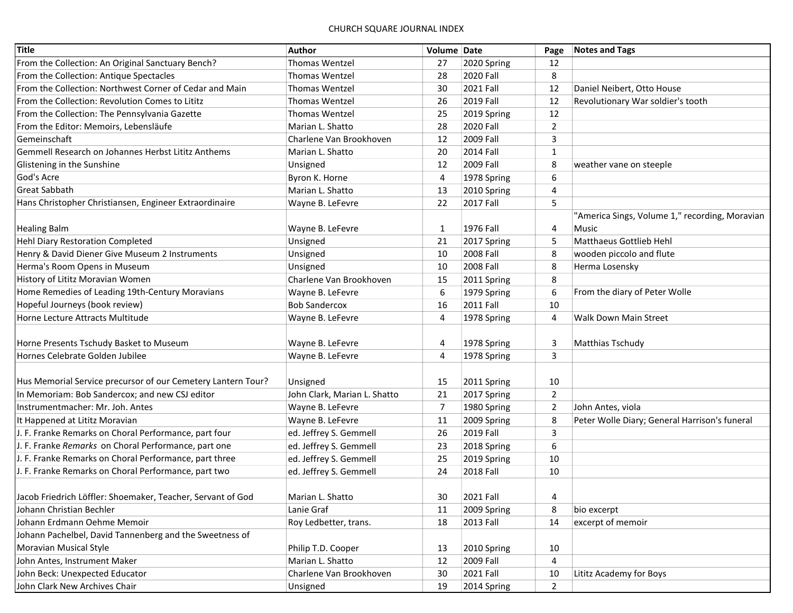| <b>Title</b>                                                 | Author                       | Volume Date    |                  | Page           | <b>Notes and Tags</b>                          |
|--------------------------------------------------------------|------------------------------|----------------|------------------|----------------|------------------------------------------------|
| From the Collection: An Original Sanctuary Bench?            | <b>Thomas Wentzel</b>        | 27             | 2020 Spring      | 12             |                                                |
| From the Collection: Antique Spectacles                      | <b>Thomas Wentzel</b>        | 28             | 2020 Fall        | 8              |                                                |
| From the Collection: Northwest Corner of Cedar and Main      | <b>Thomas Wentzel</b>        | 30             | 2021 Fall        | 12             | Daniel Neibert, Otto House                     |
| From the Collection: Revolution Comes to Lititz              | <b>Thomas Wentzel</b>        | 26             | 2019 Fall        | 12             | Revolutionary War soldier's tooth              |
| From the Collection: The Pennsylvania Gazette                | <b>Thomas Wentzel</b>        | 25             | 2019 Spring      | 12             |                                                |
| From the Editor: Memoirs, Lebensläufe                        | Marian L. Shatto             | 28             | 2020 Fall        | $\overline{2}$ |                                                |
| Gemeinschaft                                                 | Charlene Van Brookhoven      | 12             | 2009 Fall        | 3              |                                                |
| Gemmell Research on Johannes Herbst Lititz Anthems           | Marian L. Shatto             | 20             | <b>2014 Fall</b> | $\mathbf{1}$   |                                                |
| Glistening in the Sunshine                                   | Unsigned                     | 12             | 2009 Fall        | 8              | weather vane on steeple                        |
| God's Acre                                                   | Byron K. Horne               | 4              | 1978 Spring      | 6              |                                                |
| <b>Great Sabbath</b>                                         | Marian L. Shatto             | 13             | 2010 Spring      | $\overline{4}$ |                                                |
| Hans Christopher Christiansen, Engineer Extraordinaire       | Wayne B. LeFevre             | 22             | <b>2017 Fall</b> | 5              |                                                |
|                                                              |                              |                |                  |                | "America Sings, Volume 1," recording, Moravian |
| <b>Healing Balm</b>                                          | Wayne B. LeFevre             | $\mathbf{1}$   | 1976 Fall        | 4              | Music                                          |
| Hehl Diary Restoration Completed                             | Unsigned                     | 21             | 2017 Spring      | 5              | Matthaeus Gottlieb Hehl                        |
| Henry & David Diener Give Museum 2 Instruments               | Unsigned                     | 10             | 2008 Fall        | 8              | wooden piccolo and flute                       |
| Herma's Room Opens in Museum                                 | Unsigned                     | 10             | 2008 Fall        | 8              | Herma Losensky                                 |
| History of Lititz Moravian Women                             | Charlene Van Brookhoven      | 15             | 2011 Spring      | 8              |                                                |
| Home Remedies of Leading 19th-Century Moravians              | Wayne B. LeFevre             | 6              | 1979 Spring      | 6              | From the diary of Peter Wolle                  |
| Hopeful Journeys (book review)                               | <b>Bob Sandercox</b>         | 16             | 2011 Fall        | 10             |                                                |
| Horne Lecture Attracts Multitude                             | Wayne B. LeFevre             | 4              | 1978 Spring      | $\overline{4}$ | <b>Walk Down Main Street</b>                   |
|                                                              |                              |                |                  |                |                                                |
| Horne Presents Tschudy Basket to Museum                      | Wayne B. LeFevre             | 4              | 1978 Spring      | 3              | Matthias Tschudy                               |
| Hornes Celebrate Golden Jubilee                              | Wayne B. LeFevre             | $\overline{4}$ | 1978 Spring      | 3              |                                                |
|                                                              |                              |                |                  |                |                                                |
| Hus Memorial Service precursor of our Cemetery Lantern Tour? | Unsigned                     | 15             | 2011 Spring      | 10             |                                                |
| In Memoriam: Bob Sandercox; and new CSJ editor               | John Clark, Marian L. Shatto | 21             | 2017 Spring      | $\overline{2}$ |                                                |
| Instrumentmacher: Mr. Joh. Antes                             | Wayne B. LeFevre             | $\overline{7}$ | 1980 Spring      | $\overline{2}$ | John Antes, viola                              |
| It Happened at Lititz Moravian                               | Wayne B. LeFevre             | 11             | 2009 Spring      | 8              | Peter Wolle Diary; General Harrison's funeral  |
| J. F. Franke Remarks on Choral Performance, part four        | ed. Jeffrey S. Gemmell       | 26             | <b>2019 Fall</b> | 3              |                                                |
| J. F. Franke Remarks on Choral Performance, part one         | ed. Jeffrey S. Gemmell       | 23             | 2018 Spring      | 6              |                                                |
| J. F. Franke Remarks on Choral Performance, part three       | ed. Jeffrey S. Gemmell       | 25             | 2019 Spring      | 10             |                                                |
| J. F. Franke Remarks on Choral Performance, part two         | ed. Jeffrey S. Gemmell       | 24             | <b>2018 Fall</b> | 10             |                                                |
|                                                              |                              |                |                  |                |                                                |
| Jacob Friedrich Löffler: Shoemaker, Teacher, Servant of God  | Marian L. Shatto             | 30             | 2021 Fall        | 4              |                                                |
| Johann Christian Bechler                                     | Lanie Graf                   | 11             | 2009 Spring      | 8              | bio excerpt                                    |
| Johann Erdmann Oehme Memoir                                  | Roy Ledbetter, trans.        | 18             | 2013 Fall        | 14             | excerpt of memoir                              |
| Johann Pachelbel, David Tannenberg and the Sweetness of      |                              |                |                  |                |                                                |
| Moravian Musical Style                                       | Philip T.D. Cooper           | 13             | 2010 Spring      | 10             |                                                |
| John Antes, Instrument Maker                                 | Marian L. Shatto             | 12             | 2009 Fall        | 4              |                                                |
| John Beck: Unexpected Educator                               | Charlene Van Brookhoven      | 30             | 2021 Fall        | 10             | Lititz Academy for Boys                        |
| John Clark New Archives Chair                                | Unsigned                     | 19             | 2014 Spring      | $\overline{2}$ |                                                |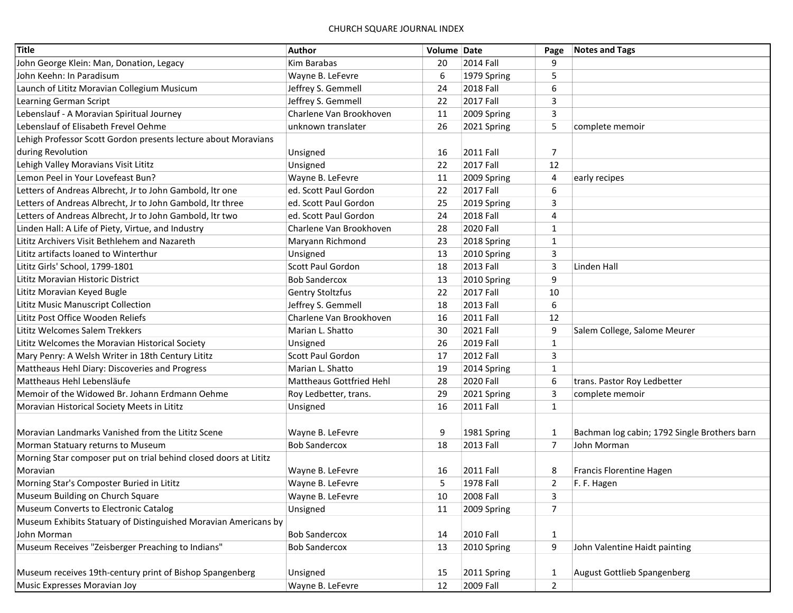| <b>Title</b>                                                     | Author                          | Volume Date |                  | Page           | <b>Notes and Tags</b>                        |
|------------------------------------------------------------------|---------------------------------|-------------|------------------|----------------|----------------------------------------------|
| John George Klein: Man, Donation, Legacy                         | Kim Barabas                     | 20          | <b>2014 Fall</b> | 9              |                                              |
| John Keehn: In Paradisum                                         | Wayne B. LeFevre                | 6           | 1979 Spring      | 5              |                                              |
| Launch of Lititz Moravian Collegium Musicum                      | Jeffrey S. Gemmell              | 24          | 2018 Fall        | 6              |                                              |
| Learning German Script                                           | Jeffrey S. Gemmell              | 22          | <b>2017 Fall</b> | 3              |                                              |
| Lebenslauf - A Moravian Spiritual Journey                        | Charlene Van Brookhoven         | 11          | 2009 Spring      | 3              |                                              |
| Lebenslauf of Elisabeth Frevel Oehme                             | unknown translater              | 26          | 2021 Spring      | 5              | complete memoir                              |
| Lehigh Professor Scott Gordon presents lecture about Moravians   |                                 |             |                  |                |                                              |
| during Revolution                                                | Unsigned                        | 16          | 2011 Fall        | 7              |                                              |
| Lehigh Valley Moravians Visit Lititz                             | Unsigned                        | 22          | <b>2017 Fall</b> | 12             |                                              |
| Lemon Peel in Your Lovefeast Bun?                                | Wayne B. LeFevre                | 11          | 2009 Spring      | $\overline{4}$ | early recipes                                |
| Letters of Andreas Albrecht, Jr to John Gambold, Itr one         | ed. Scott Paul Gordon           | 22          | <b>2017 Fall</b> | 6              |                                              |
| Letters of Andreas Albrecht, Jr to John Gambold, Itr three       | ed. Scott Paul Gordon           | 25          | 2019 Spring      | 3              |                                              |
| Letters of Andreas Albrecht, Jr to John Gambold, Itr two         | ed. Scott Paul Gordon           | 24          | <b>2018 Fall</b> | 4              |                                              |
| Linden Hall: A Life of Piety, Virtue, and Industry               | Charlene Van Brookhoven         | 28          | 2020 Fall        | $\mathbf{1}$   |                                              |
| Lititz Archivers Visit Bethlehem and Nazareth                    | Maryann Richmond                | 23          | 2018 Spring      | $\mathbf{1}$   |                                              |
| Lititz artifacts loaned to Winterthur                            | Unsigned                        | 13          | 2010 Spring      | 3              |                                              |
| Lititz Girls' School, 1799-1801                                  | Scott Paul Gordon               | 18          | 2013 Fall        | 3              | Linden Hall                                  |
| Lititz Moravian Historic District                                | <b>Bob Sandercox</b>            | 13          | 2010 Spring      | 9              |                                              |
| Lititz Moravian Keyed Bugle                                      | Gentry Stoltzfus                | 22          | <b>2017 Fall</b> | 10             |                                              |
| Lititz Music Manuscript Collection                               | Jeffrey S. Gemmell              | 18          | 2013 Fall        | 6              |                                              |
| Lititz Post Office Wooden Reliefs                                | Charlene Van Brookhoven         | 16          | <b>2011 Fall</b> | 12             |                                              |
| Lititz Welcomes Salem Trekkers                                   | Marian L. Shatto                | 30          | <b>2021 Fall</b> | 9              | Salem College, Salome Meurer                 |
| Lititz Welcomes the Moravian Historical Society                  | Unsigned                        | 26          | 2019 Fall        | 1              |                                              |
| Mary Penry: A Welsh Writer in 18th Century Lititz                | Scott Paul Gordon               | 17          | <b>2012 Fall</b> | 3              |                                              |
| Mattheaus Hehl Diary: Discoveries and Progress                   | Marian L. Shatto                | 19          | 2014 Spring      | $\mathbf{1}$   |                                              |
| Mattheaus Hehl Lebensläufe                                       | <b>Mattheaus Gottfried Hehl</b> | 28          | 2020 Fall        | 6              | trans. Pastor Roy Ledbetter                  |
| Memoir of the Widowed Br. Johann Erdmann Oehme                   | Roy Ledbetter, trans.           | 29          | 2021 Spring      | 3              | complete memoir                              |
| Moravian Historical Society Meets in Lititz                      | Unsigned                        | 16          | 2011 Fall        | $\mathbf{1}$   |                                              |
|                                                                  |                                 |             |                  |                |                                              |
| Moravian Landmarks Vanished from the Lititz Scene                | Wayne B. LeFevre                | 9           | 1981 Spring      | $\mathbf{1}$   | Bachman log cabin; 1792 Single Brothers barn |
| Morman Statuary returns to Museum                                | <b>Bob Sandercox</b>            | 18          | 2013 Fall        | $\overline{7}$ | John Morman                                  |
| Morning Star composer put on trial behind closed doors at Lititz |                                 |             |                  |                |                                              |
| Moravian                                                         | Wayne B. LeFevre                | 16          | 2011 Fall        | 8              | Francis Florentine Hagen                     |
| Morning Star's Composter Buried in Lititz                        | Wayne B. LeFevre                | 5           | 1978 Fall        | $\overline{2}$ | F. F. Hagen                                  |
| Museum Building on Church Square                                 | Wayne B. LeFevre                | 10          | 2008 Fall        | 3              |                                              |
| Museum Converts to Electronic Catalog                            | Unsigned                        | 11          | 2009 Spring      | $\overline{7}$ |                                              |
| Museum Exhibits Statuary of Distinguished Moravian Americans by  |                                 |             |                  |                |                                              |
| John Morman                                                      | <b>Bob Sandercox</b>            | 14          | 2010 Fall        | $\mathbf{1}$   |                                              |
| Museum Receives "Zeisberger Preaching to Indians"                | <b>Bob Sandercox</b>            | 13          | 2010 Spring      | 9              | John Valentine Haidt painting                |
|                                                                  |                                 |             |                  |                |                                              |
| Museum receives 19th-century print of Bishop Spangenberg         | Unsigned                        | 15          | 2011 Spring      | $\mathbf{1}$   | August Gottlieb Spangenberg                  |
| Music Expresses Moravian Joy                                     | Wayne B. LeFevre                | 12          | 2009 Fall        | 2              |                                              |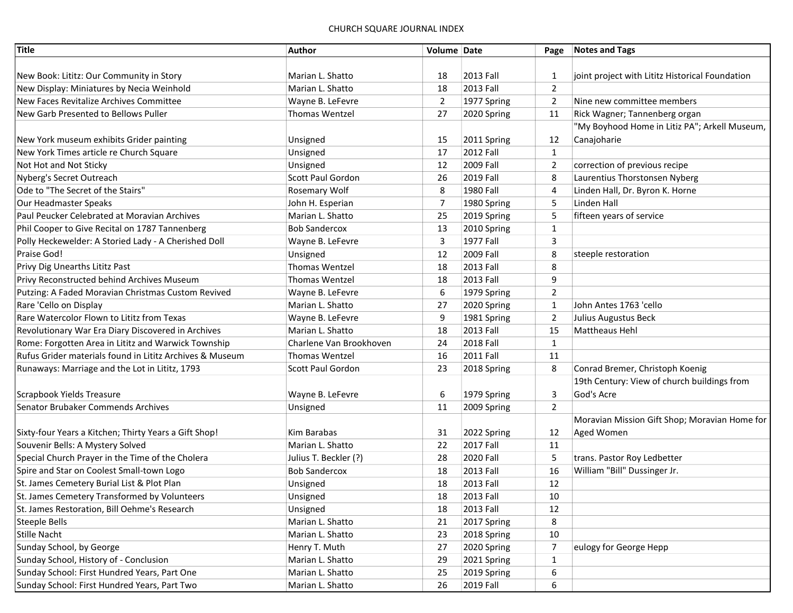| <b>Title</b>                                             | Author                   | Volume Date    |                  | Page           | Notes and Tags                                  |
|----------------------------------------------------------|--------------------------|----------------|------------------|----------------|-------------------------------------------------|
|                                                          |                          |                |                  |                |                                                 |
| New Book: Lititz: Our Community in Story                 | Marian L. Shatto         | 18             | 2013 Fall        | $\mathbf{1}$   | joint project with Lititz Historical Foundation |
| New Display: Miniatures by Necia Weinhold                | Marian L. Shatto         | 18             | 2013 Fall        | 2              |                                                 |
| New Faces Revitalize Archives Committee                  | Wayne B. LeFevre         | $\overline{2}$ | 1977 Spring      | $\overline{2}$ | Nine new committee members                      |
| New Garb Presented to Bellows Puller                     | <b>Thomas Wentzel</b>    | 27             | 2020 Spring      | 11             | Rick Wagner; Tannenberg organ                   |
|                                                          |                          |                |                  |                | "My Boyhood Home in Litiz PA"; Arkell Museum,   |
| New York museum exhibits Grider painting                 | Unsigned                 | 15             | 2011 Spring      | 12             | Canajoharie                                     |
| New York Times article re Church Square                  | Unsigned                 | 17             | <b>2012 Fall</b> | $\mathbf{1}$   |                                                 |
| Not Hot and Not Sticky                                   | Unsigned                 | 12             | 2009 Fall        | $\overline{2}$ | correction of previous recipe                   |
| Nyberg's Secret Outreach                                 | <b>Scott Paul Gordon</b> | 26             | 2019 Fall        | 8              | Laurentius Thorstonsen Nyberg                   |
| Ode to "The Secret of the Stairs"                        | Rosemary Wolf            | 8              | 1980 Fall        | $\overline{4}$ | Linden Hall, Dr. Byron K. Horne                 |
| Our Headmaster Speaks                                    | John H. Esperian         | 7              | 1980 Spring      | 5              | Linden Hall                                     |
| Paul Peucker Celebrated at Moravian Archives             | Marian L. Shatto         | 25             | 2019 Spring      | 5              | fifteen years of service                        |
| Phil Cooper to Give Recital on 1787 Tannenberg           | <b>Bob Sandercox</b>     | 13             | 2010 Spring      | $\mathbf{1}$   |                                                 |
| Polly Heckewelder: A Storied Lady - A Cherished Doll     | Wayne B. LeFevre         | 3              | 1977 Fall        | 3              |                                                 |
| Praise God!                                              | Unsigned                 | 12             | 2009 Fall        | 8              | steeple restoration                             |
| Privy Dig Unearths Lititz Past                           | <b>Thomas Wentzel</b>    | 18             | 2013 Fall        | 8              |                                                 |
| Privy Reconstructed behind Archives Museum               | <b>Thomas Wentzel</b>    | 18             | 2013 Fall        | 9              |                                                 |
| Putzing: A Faded Moravian Christmas Custom Revived       | Wayne B. LeFevre         | 6              | 1979 Spring      | $\overline{2}$ |                                                 |
| Rare 'Cello on Display                                   | Marian L. Shatto         | 27             | 2020 Spring      | $\mathbf{1}$   | John Antes 1763 'cello                          |
| Rare Watercolor Flown to Lititz from Texas               | Wayne B. LeFevre         | 9              | 1981 Spring      | $\overline{2}$ | Julius Augustus Beck                            |
| Revolutionary War Era Diary Discovered in Archives       | Marian L. Shatto         | 18             | 2013 Fall        | 15             | <b>Mattheaus Hehl</b>                           |
| Rome: Forgotten Area in Lititz and Warwick Township      | Charlene Van Brookhoven  | 24             | 2018 Fall        | $\mathbf{1}$   |                                                 |
| Rufus Grider materials found in Lititz Archives & Museum | <b>Thomas Wentzel</b>    | 16             | <b>2011 Fall</b> | 11             |                                                 |
| Runaways: Marriage and the Lot in Lititz, 1793           | Scott Paul Gordon        | 23             | 2018 Spring      | 8              | Conrad Bremer, Christoph Koenig                 |
|                                                          |                          |                |                  |                | 19th Century: View of church buildings from     |
| Scrapbook Yields Treasure                                | Wayne B. LeFevre         | 6              | 1979 Spring      | 3              | God's Acre                                      |
| Senator Brubaker Commends Archives                       | Unsigned                 | 11             | 2009 Spring      | 2              |                                                 |
|                                                          |                          |                |                  |                | Moravian Mission Gift Shop; Moravian Home for   |
| Sixty-four Years a Kitchen; Thirty Years a Gift Shop!    | Kim Barabas              | 31             | 2022 Spring      | 12             | Aged Women                                      |
| Souvenir Bells: A Mystery Solved                         | Marian L. Shatto         | 22             | <b>2017 Fall</b> | 11             |                                                 |
| Special Church Prayer in the Time of the Cholera         | Julius T. Beckler (?)    | 28             | 2020 Fall        | 5              | trans. Pastor Roy Ledbetter                     |
| Spire and Star on Coolest Small-town Logo                | <b>Bob Sandercox</b>     | 18             | 2013 Fall        | 16             | William "Bill" Dussinger Jr.                    |
| St. James Cemetery Burial List & Plot Plan               | Unsigned                 | 18             | 2013 Fall        | 12             |                                                 |
| St. James Cemetery Transformed by Volunteers             | Unsigned                 | 18             | 2013 Fall        | 10             |                                                 |
| St. James Restoration, Bill Oehme's Research             | Unsigned                 | 18             | 2013 Fall        | 12             |                                                 |
| <b>Steeple Bells</b>                                     | Marian L. Shatto         | 21             | 2017 Spring      | 8              |                                                 |
| <b>Stille Nacht</b>                                      | Marian L. Shatto         | 23             | 2018 Spring      | 10             |                                                 |
| Sunday School, by George                                 | Henry T. Muth            | 27             | 2020 Spring      | 7              | eulogy for George Hepp                          |
| Sunday School, History of - Conclusion                   | Marian L. Shatto         | 29             | 2021 Spring      | $\mathbf{1}$   |                                                 |
| Sunday School: First Hundred Years, Part One             | Marian L. Shatto         | 25             | 2019 Spring      | 6              |                                                 |
| Sunday School: First Hundred Years, Part Two             | Marian L. Shatto         | 26             | 2019 Fall        | 6              |                                                 |